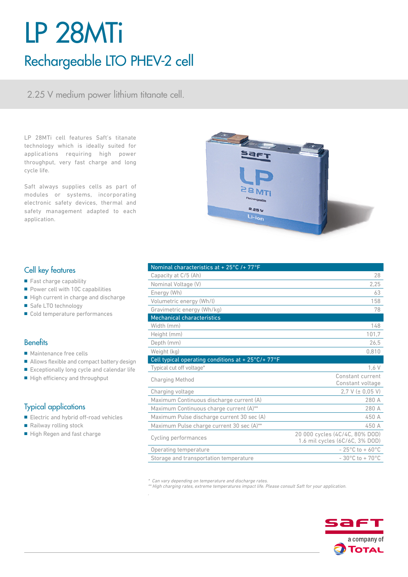# LP 28MTi Rechargeable LTO PHEV-2 cell

2.25 V medium power lithium titanate cell.

LP 28MTi cell features Saft's titanate technology which is ideally suited for applications requiring high power throughput, very fast charge and long cycle life.

Saft always supplies cells as part of modules or systems, incorporating electronic safety devices, thermal and safety management adapted to each application.



## Cell key features

- Fast charge capability
- Power cell with 10C capabilities
- High current in charge and discharge
- Safe LTO technology
- Cold temperature performances

## **Benefits**

- Maintenance free cells
- Allows flexible and compact battery design
- Exceptionally long cycle and calendar life
- High efficiency and throughput

## Typical applications

- Electric and hybrid off-road vehicles
- Railway rolling stock
- High Regen and fast charge

| $\frac{1}{2}$                                                          |                                                                  |
|------------------------------------------------------------------------|------------------------------------------------------------------|
| Capacity at C/5 (Ah)                                                   | 28                                                               |
| Nominal Voltage (V)                                                    | 2,25                                                             |
| Energy (Wh)                                                            | 63                                                               |
| Volumetric energy (Wh/l)                                               | 158                                                              |
| Gravimetric energy (Wh/kg)                                             | 78                                                               |
| <b>Mechanical characteristics</b>                                      |                                                                  |
| Width (mm)                                                             | 148                                                              |
| Height (mm)                                                            | 101.7                                                            |
| Depth (mm)                                                             | 26,5                                                             |
| Weight (kg)                                                            | 0,810                                                            |
| Cell typical operating conditions at + $25^{\circ}$ C/+ $77^{\circ}$ F |                                                                  |
| Typical cut off voltage*                                               | 1,6 V                                                            |
| <b>Charging Method</b>                                                 | Constant current<br>Constant voltage                             |
| Charging voltage                                                       | $2.7 V (\pm 0.05 V)$                                             |
| Maximum Continuous discharge current (A)                               | 280 A                                                            |
| Maximum Continuous charge current (A)**                                | 280 A                                                            |
| Maximum Pulse discharge current 30 sec (A)                             | 450 A                                                            |
| Maximum Pulse charge current 30 sec (A)**                              | 450 A                                                            |
| Cycling performances                                                   | 20 000 cycles (4C/4C, 80% DOD)<br>1.6 mil cycles (6C/6C, 3% DOD) |
| Operating temperature                                                  | $-25^{\circ}$ C to + 60 $^{\circ}$ C                             |
| Storage and transportation temperature                                 | $-30^{\circ}$ C to + 70 $^{\circ}$ C                             |

\* Can vary depending on temperature and discharge rates.

Nominal characteristics at + 25°C /+ 77°F

\*\* High charging rates, extreme temperatures impact life. Please consult Saft for your application.